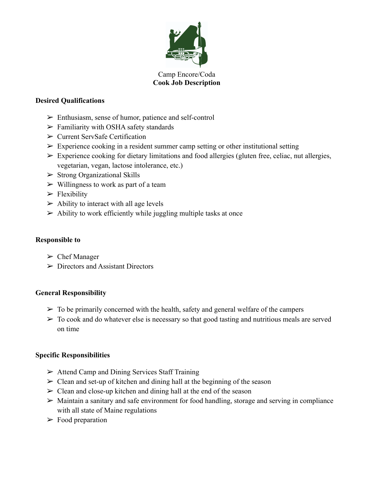

#### Camp Encore/Coda **Cook Job Description**

## **Desired Qualifications**

- ➢ Enthusiasm, sense of humor, patience and self-control
- $\triangleright$  Familiarity with OSHA safety standards
- ➢ Current ServSafe Certification
- $\triangleright$  Experience cooking in a resident summer camp setting or other institutional setting
- $\triangleright$  Experience cooking for dietary limitations and food allergies (gluten free, celiac, nut allergies, vegetarian, vegan, lactose intolerance, etc.)
- $\triangleright$  Strong Organizational Skills
- $\triangleright$  Willingness to work as part of a team
- $\blacktriangleright$  Flexibility
- $\triangleright$  Ability to interact with all age levels
- $\triangleright$  Ability to work efficiently while juggling multiple tasks at once

## **Responsible to**

- $\triangleright$  Chef Manager
- $\triangleright$  Directors and Assistant Directors

# **General Responsibility**

- $\triangleright$  To be primarily concerned with the health, safety and general welfare of the campers
- $\triangleright$  To cook and do whatever else is necessary so that good tasting and nutritious meals are served on time

# **Specific Responsibilities**

- $\triangleright$  Attend Camp and Dining Services Staff Training
- $\triangleright$  Clean and set-up of kitchen and dining hall at the beginning of the season
- $\geq$  Clean and close-up kitchen and dining hall at the end of the season
- $\triangleright$  Maintain a sanitary and safe environment for food handling, storage and serving in compliance with all state of Maine regulations
- $\triangleright$  Food preparation